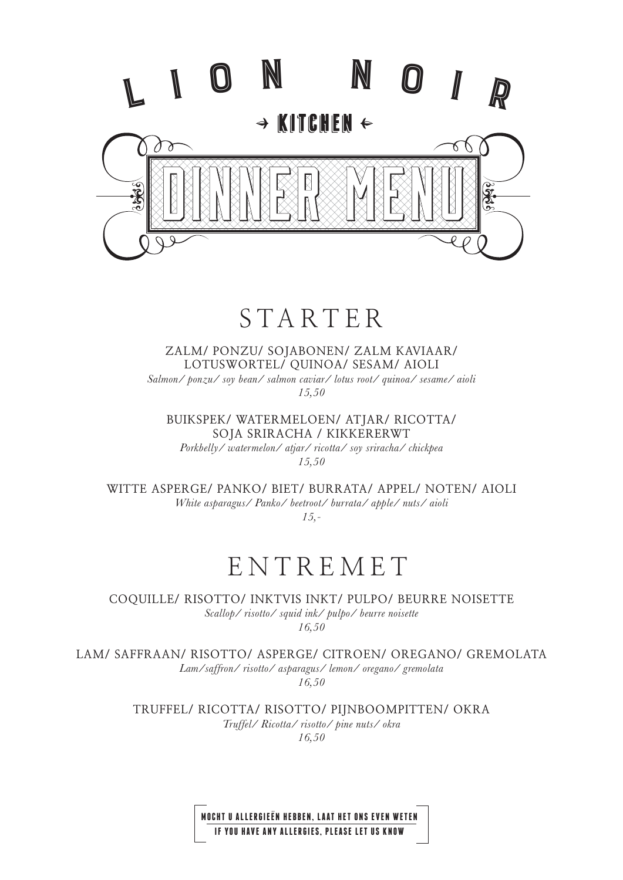

# STARTER

**ZALM/ PONZU/ SOJABONEN/ ZALM KAVIAAR/ LOTUSWORTEL/ QUINOA/ SESAM/ AIOLI** *Salmon/ ponzu/ soy bean/ salmon caviar/ lotus root/ quinoa/ sesame/ aioli 15,50*

**BUIKSPEK/ WATERMELOEN/ ATJAR/ RICOTTA/ SOJA SRIRACHA / KIKKERERWT**

*Porkbelly/ watermelon/ atjar/ ricotta/ soy sriracha/ chickpea 15,50*

**WITTE ASPERGE/ PANKO/ BIET/ BURRATA/ APPEL/ NOTEN/ AIOLI** *White asparagus/ Panko/ beetroot/ burrata/ apple/ nuts/ aioli*

*15,-*

# ENTREMET

**COQUILLE/ RISOTTO/ INKTVIS INKT/ PULPO/ BEURRE NOISETTE**  *Scallop/ risotto/ squid ink/ pulpo/ beurre noisette 16,50*

**LAM/ SAFFRAAN/ RISOTTO/ ASPERGE/ CITROEN/ OREGANO/ GREMOLATA** 

*Lam/saffron/ risotto/ asparagus/ lemon/ oregano/ gremolata 16,50*

**TRUFFEL/ RICOTTA/ RISOTTO/ PIJNBOOMPITTEN/ OKRA** *Truffel/ Ricotta/ risotto/ pine nuts/ okra*

*16,50*

**MOCHT U ALLERGIEEN HEBBEN, LAAT HET ONS EVEN WETEN IF YOU HAVE ANY ALLERGIES, PLEASE LET US KNOW**